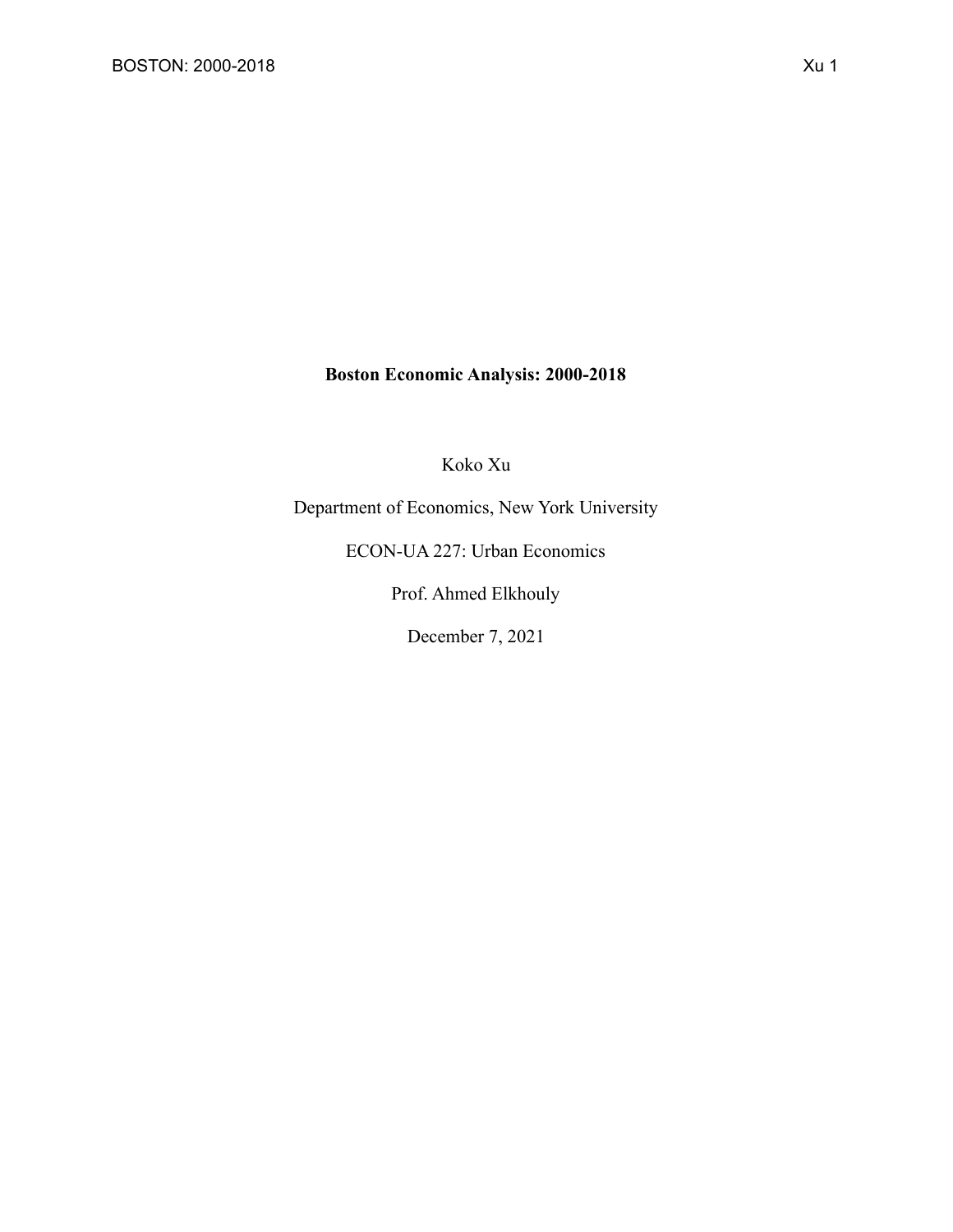### **Boston Economic Analysis: 2000-2018**

Koko Xu

Department of Economics, New York University

ECON-UA 227: Urban Economics

Prof. Ahmed Elkhouly

December 7, 2021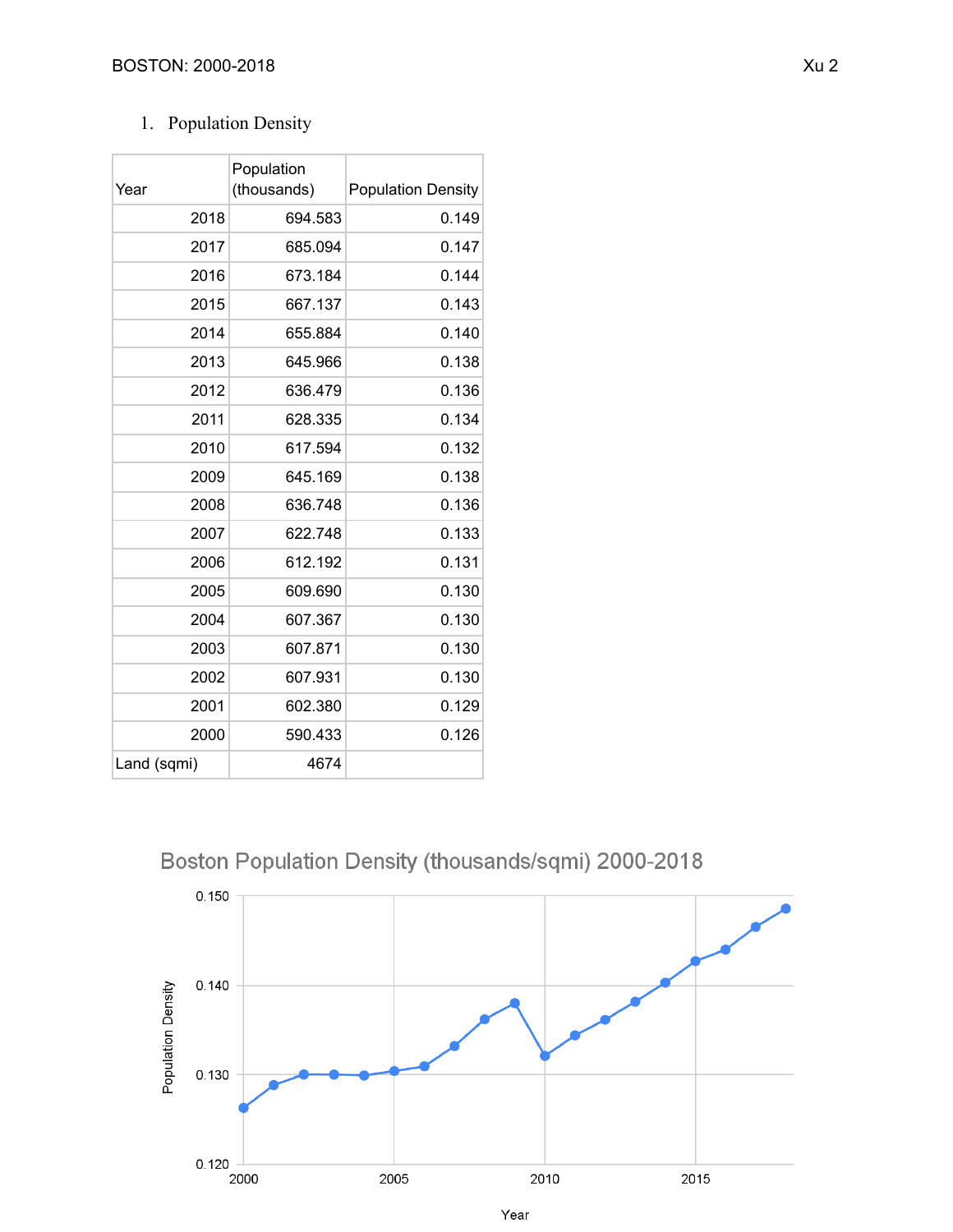## 1. Population Density

| Year        | Population<br>(thousands) | <b>Population Density</b> |
|-------------|---------------------------|---------------------------|
| 2018        | 694.583                   | 0.149                     |
| 2017        | 685.094                   | 0.147                     |
| 2016        | 673.184                   | 0.144                     |
| 2015        | 667.137                   | 0.143                     |
| 2014        | 655.884                   | 0.140                     |
| 2013        | 645.966                   | 0.138                     |
| 2012        | 636.479                   | 0.136                     |
| 2011        | 628.335                   | 0.134                     |
| 2010        | 617.594                   | 0.132                     |
| 2009        | 645.169                   | 0.138                     |
| 2008        | 636.748                   | 0.136                     |
| 2007        | 622.748                   | 0.133                     |
| 2006        | 612.192                   | 0.131                     |
| 2005        | 609.690                   | 0.130                     |
| 2004        | 607.367                   | 0.130                     |
| 2003        | 607.871                   | 0.130                     |
| 2002        | 607.931                   | 0.130                     |
| 2001        | 602.380                   | 0.129                     |
| 2000        | 590.433                   | 0.126                     |
| Land (sqmi) | 4674                      |                           |

## Boston Population Density (thousands/sqmi) 2000-2018

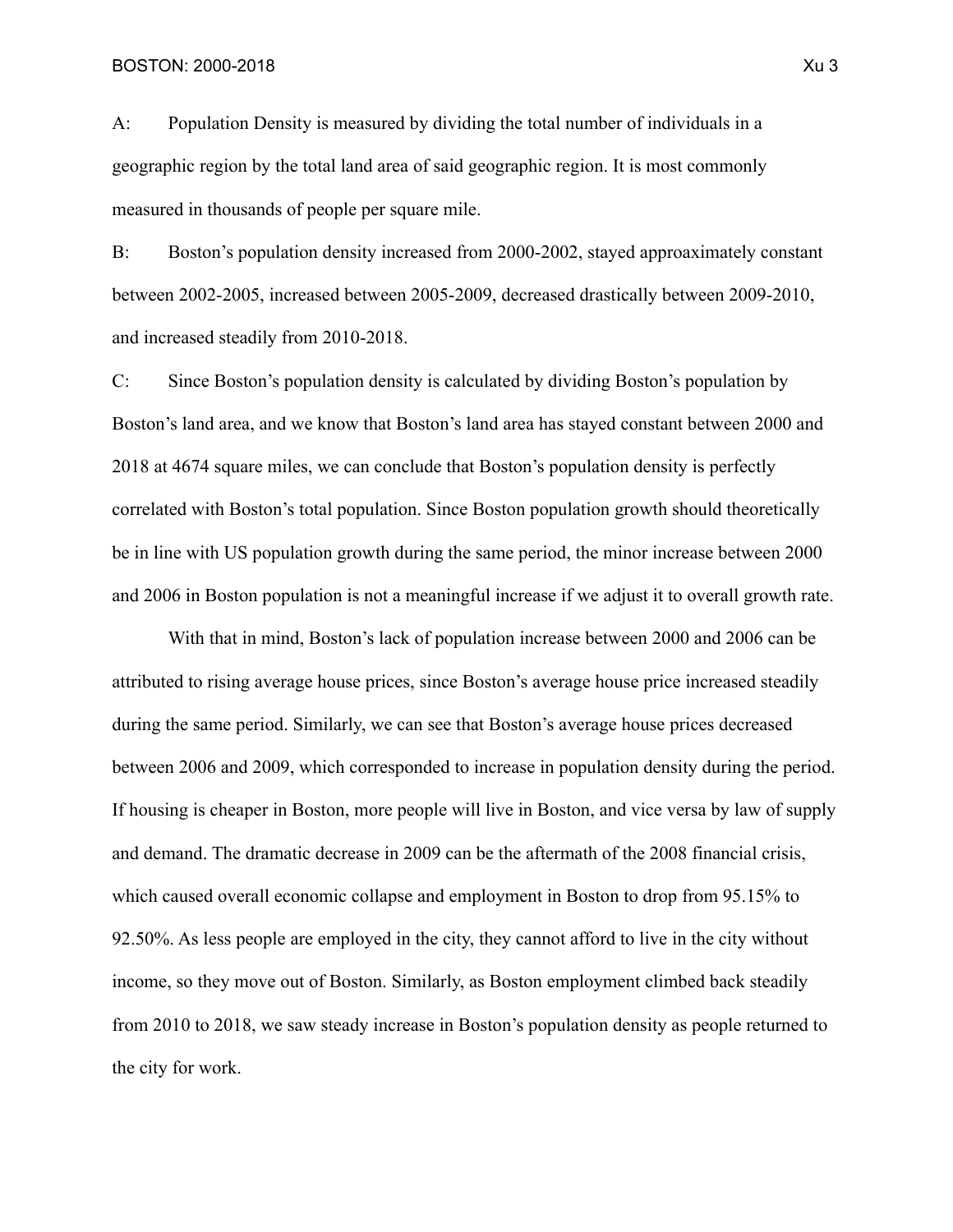A: Population Density is measured by dividing the total number of individuals in a geographic region by the total land area of said geographic region. It is most commonly measured in thousands of people per square mile.

B: Boston's population density increased from 2000-2002, stayed approaximately constant between 2002-2005, increased between 2005-2009, decreased drastically between 2009-2010, and increased steadily from 2010-2018.

C: Since Boston's population density is calculated by dividing Boston's population by Boston's land area, and we know that Boston's land area has stayed constant between 2000 and 2018 at 4674 square miles, we can conclude that Boston's population density is perfectly correlated with Boston's total population. Since Boston population growth should theoretically be in line with US population growth during the same period, the minor increase between 2000 and 2006 in Boston population is not a meaningful increase if we adjust it to overall growth rate.

With that in mind, Boston's lack of population increase between 2000 and 2006 can be attributed to rising average house prices, since Boston's average house price increased steadily during the same period. Similarly, we can see that Boston's average house prices decreased between 2006 and 2009, which corresponded to increase in population density during the period. If housing is cheaper in Boston, more people will live in Boston, and vice versa by law of supply and demand. The dramatic decrease in 2009 can be the aftermath of the 2008 financial crisis, which caused overall economic collapse and employment in Boston to drop from 95.15% to 92.50%. As less people are employed in the city, they cannot afford to live in the city without income, so they move out of Boston. Similarly, as Boston employment climbed back steadily from 2010 to 2018, we saw steady increase in Boston's population density as people returned to the city for work.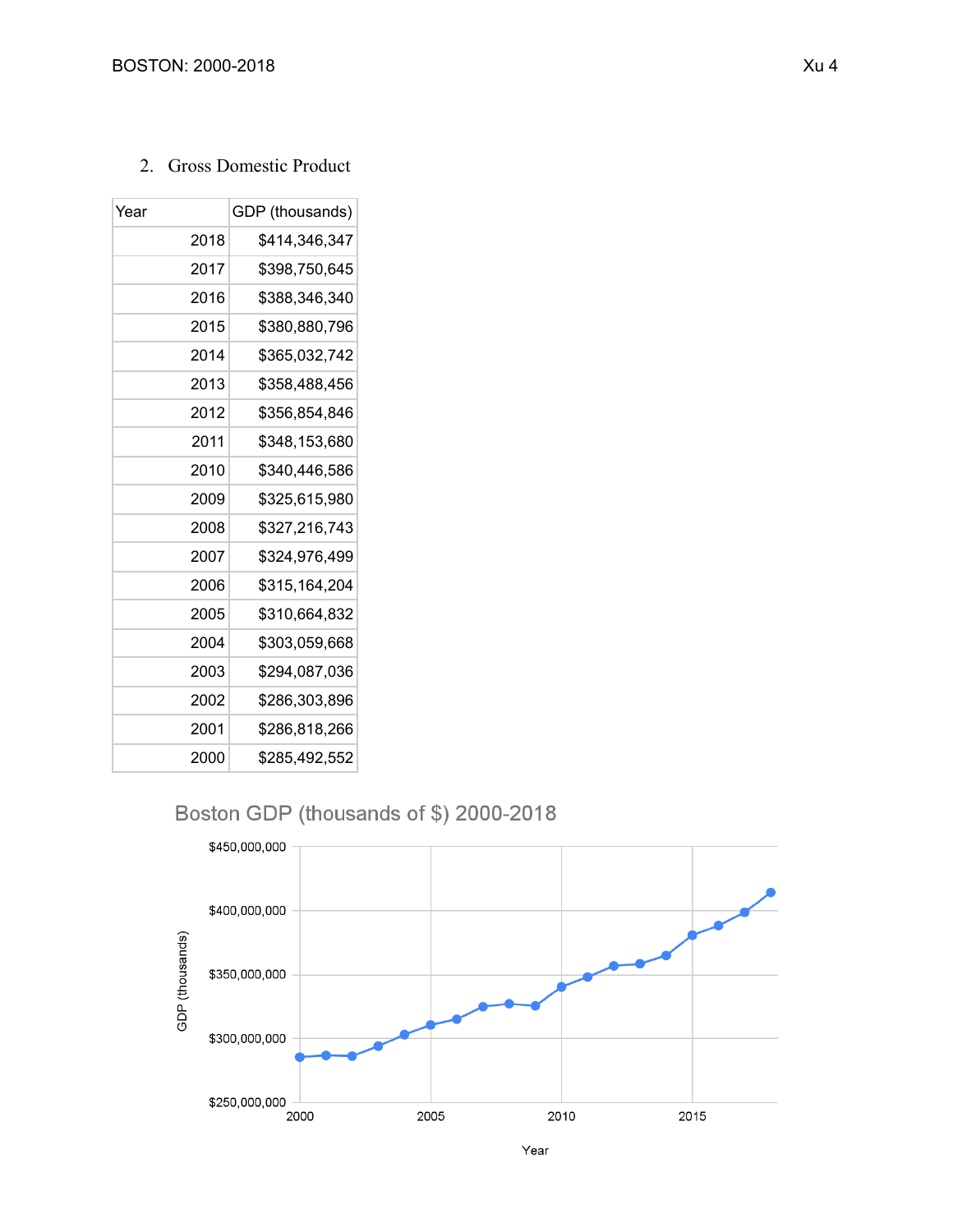2. Gross Domestic Product

| Year | GDP (thousands) |
|------|-----------------|
| 2018 | \$414,346,347   |
| 2017 | \$398.750.645   |
| 2016 | \$388.346.340   |
| 2015 | \$380.880.796   |
| 2014 | \$365,032,742   |
| 2013 | \$358,488,456   |
| 2012 | \$356.854.846   |
| 2011 | \$348.153.680   |
| 2010 | \$340,446,586   |
| 2009 | \$325,615,980   |
| 2008 | \$327.216.743   |
| 2007 | \$324.976.499   |
| 2006 | \$315,164,204   |
| 2005 | \$310,664,832   |
| 2004 | \$303,059,668   |
| 2003 | \$294,087,036   |
| 2002 | \$286,303,896   |
| 2001 | \$286.818.266   |
| 2000 | \$285,492,552   |

## Boston GDP (thousands of \$) 2000-2018



Year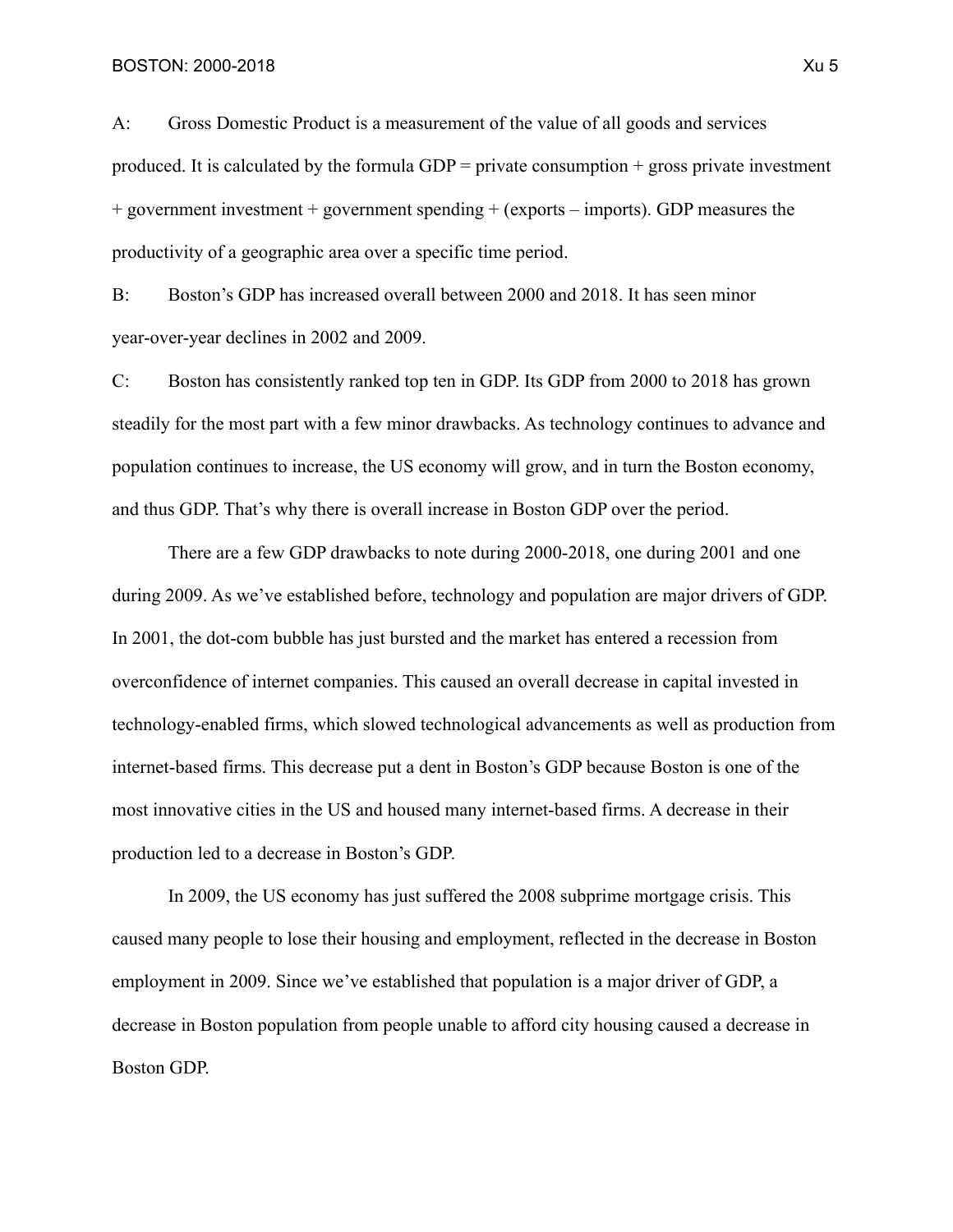A: Gross Domestic Product is a measurement of the value of all goods and services produced. It is calculated by the formula  $GDP = private$  consumption  $+$  gross private investment  $+$  government investment  $+$  government spending  $+$  (exports – imports). GDP measures the productivity of a geographic area over a specific time period.

B: Boston's GDP has increased overall between 2000 and 2018. It has seen minor year-over-year declines in 2002 and 2009.

C: Boston has consistently ranked top ten in GDP. Its GDP from 2000 to 2018 has grown steadily for the most part with a few minor drawbacks. As technology continues to advance and population continues to increase, the US economy will grow, and in turn the Boston economy, and thus GDP. That's why there is overall increase in Boston GDP over the period.

There are a few GDP drawbacks to note during 2000-2018, one during 2001 and one during 2009. As we've established before, technology and population are major drivers of GDP. In 2001, the dot-com bubble has just bursted and the market has entered a recession from overconfidence of internet companies. This caused an overall decrease in capital invested in technology-enabled firms, which slowed technological advancements as well as production from internet-based firms. This decrease put a dent in Boston's GDP because Boston is one of the most innovative cities in the US and housed many internet-based firms. A decrease in their production led to a decrease in Boston's GDP.

In 2009, the US economy has just suffered the 2008 subprime mortgage crisis. This caused many people to lose their housing and employment, reflected in the decrease in Boston employment in 2009. Since we've established that population is a major driver of GDP, a decrease in Boston population from people unable to afford city housing caused a decrease in Boston GDP.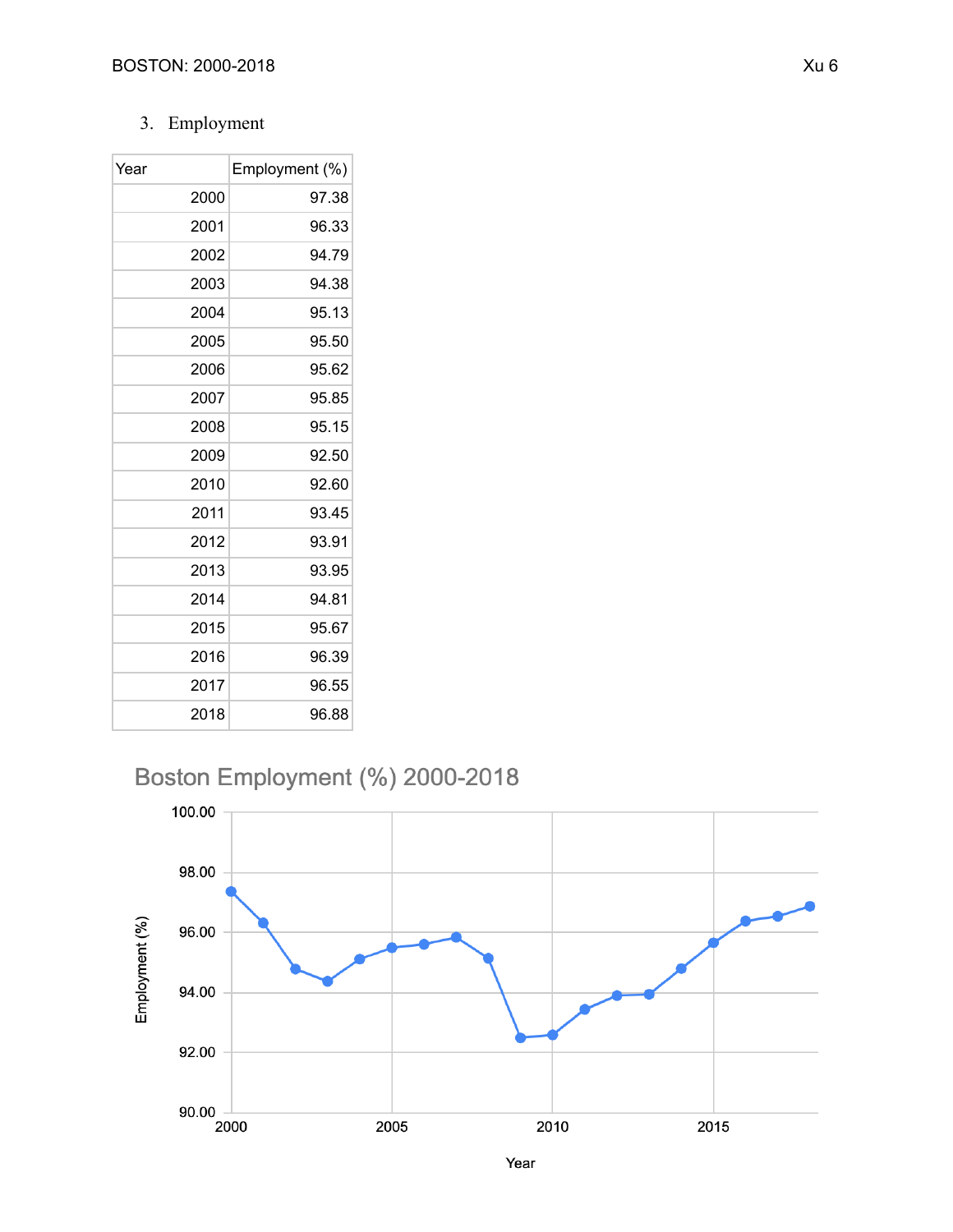## 3. Employment

| Year |      | Employment (%) |
|------|------|----------------|
|      | 2000 | 97.38          |
|      | 2001 | 96.33          |
|      | 2002 | 94.79          |
|      | 2003 | 94.38          |
|      | 2004 | 95.13          |
|      | 2005 | 95.50          |
|      | 2006 | 95.62          |
|      | 2007 | 95.85          |
|      | 2008 | 95.15          |
|      | 2009 | 92.50          |
|      | 2010 | 92.60          |
|      | 2011 | 93.45          |
|      | 2012 | 93.91          |
|      | 2013 | 93.95          |
|      | 2014 | 94.81          |
|      | 2015 | 95.67          |
|      | 2016 | 96.39          |
|      | 2017 | 96.55          |
|      | 2018 | 96.88          |

Boston Employment (%) 2000-2018

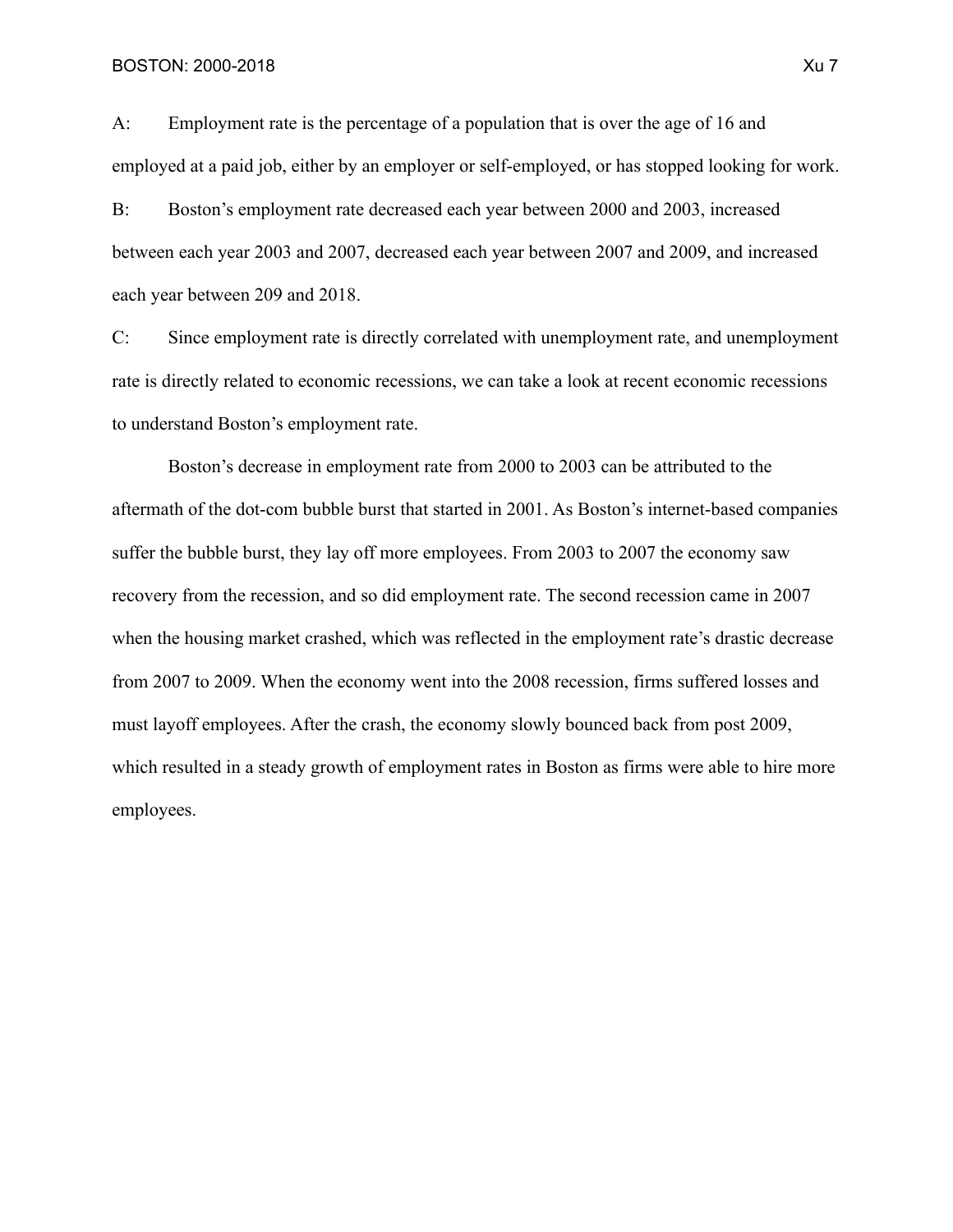A: Employment rate is the percentage of a population that is over the age of 16 and employed at a paid job, either by an employer or self-employed, or has stopped looking for work.

B: Boston's employment rate decreased each year between 2000 and 2003, increased between each year 2003 and 2007, decreased each year between 2007 and 2009, and increased each year between 209 and 2018.

C: Since employment rate is directly correlated with unemployment rate, and unemployment rate is directly related to economic recessions, we can take a look at recent economic recessions to understand Boston's employment rate.

Boston's decrease in employment rate from 2000 to 2003 can be attributed to the aftermath of the dot-com bubble burst that started in 2001. As Boston's internet-based companies suffer the bubble burst, they lay off more employees. From 2003 to 2007 the economy saw recovery from the recession, and so did employment rate. The second recession came in 2007 when the housing market crashed, which was reflected in the employment rate's drastic decrease from 2007 to 2009. When the economy went into the 2008 recession, firms suffered losses and must layoff employees. After the crash, the economy slowly bounced back from post 2009, which resulted in a steady growth of employment rates in Boston as firms were able to hire more employees.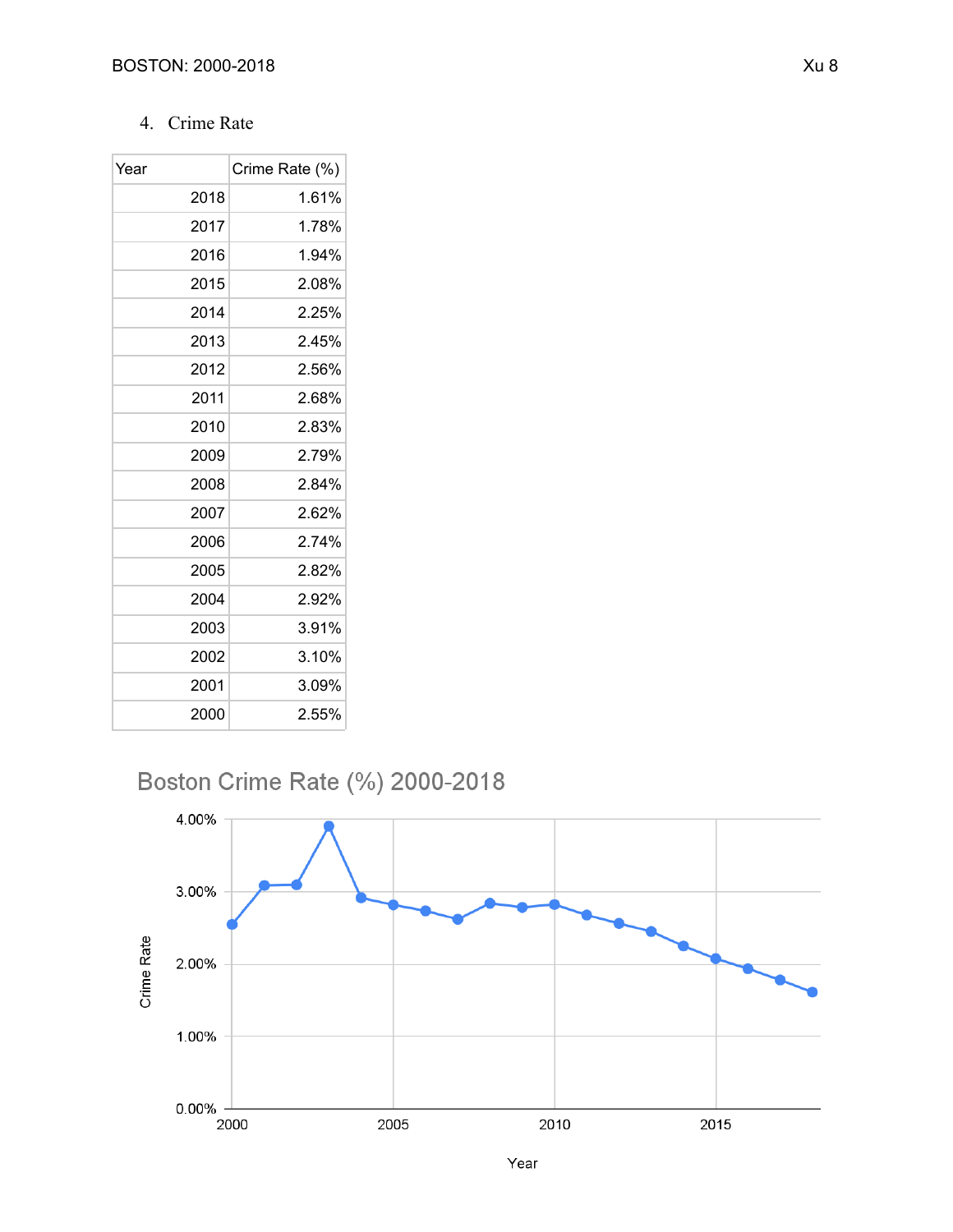### 4. Crime Rate

| Year |      | Crime Rate (%) |
|------|------|----------------|
|      | 2018 | 1.61%          |
|      | 2017 | 1.78%          |
|      | 2016 | 1.94%          |
|      | 2015 | 2.08%          |
|      | 2014 | 2.25%          |
|      | 2013 | 2.45%          |
|      | 2012 | 2.56%          |
|      | 2011 | 2.68%          |
|      | 2010 | 2.83%          |
|      | 2009 | 2.79%          |
|      | 2008 | 2.84%          |
|      | 2007 | 2.62%          |
|      | 2006 | 2.74%          |
|      | 2005 | 2.82%          |
|      | 2004 | 2.92%          |
|      | 2003 | 3.91%          |
|      | 2002 | 3.10%          |
|      | 2001 | 3.09%          |
|      | 2000 | 2.55%          |

## Boston Crime Rate (%) 2000-2018

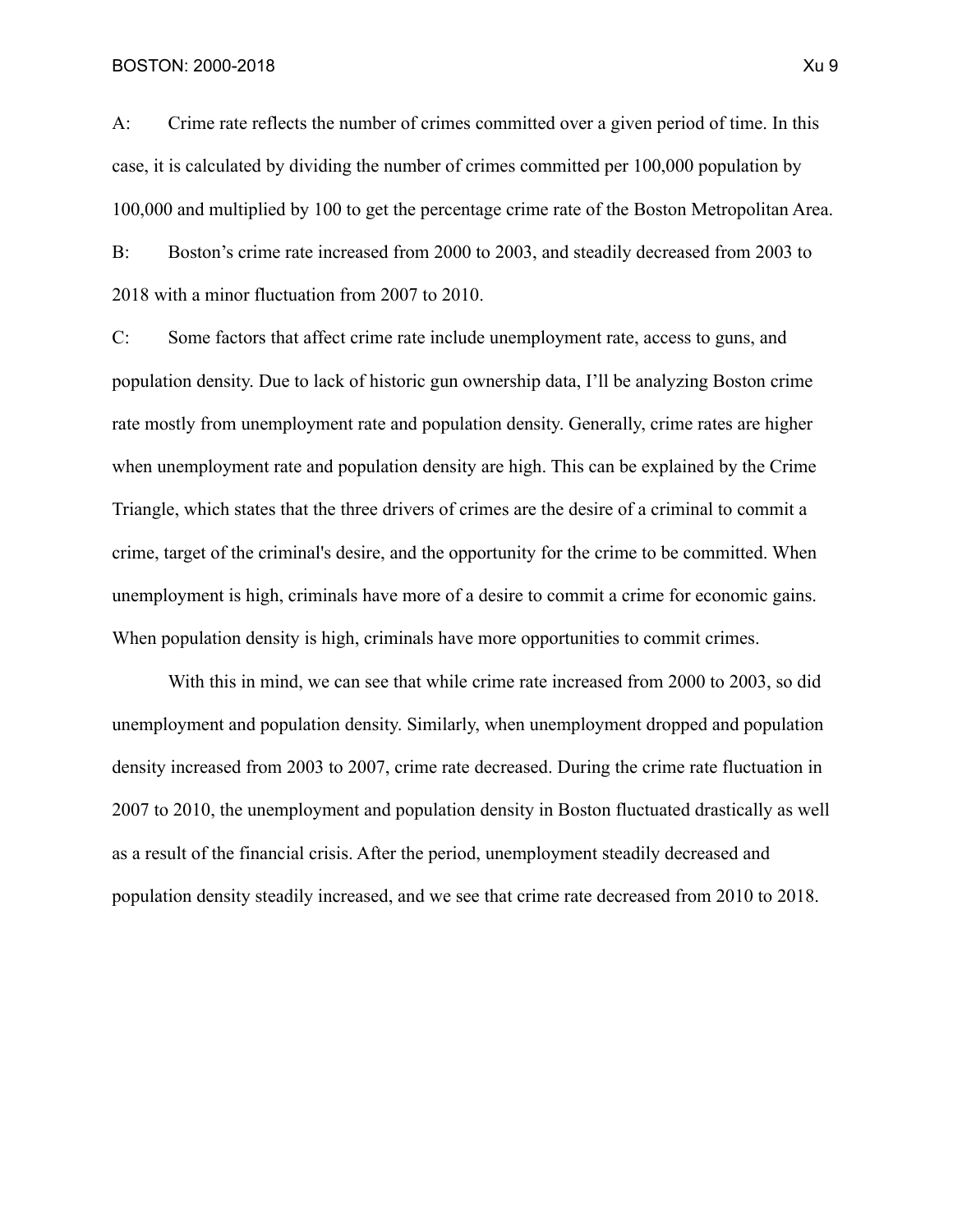BOSTON: 2000-2018 Xu 9

A: Crime rate reflects the number of crimes committed over a given period of time. In this case, it is calculated by dividing the number of crimes committed per 100,000 population by 100,000 and multiplied by 100 to get the percentage crime rate of the Boston Metropolitan Area.

B: Boston's crime rate increased from 2000 to 2003, and steadily decreased from 2003 to 2018 with a minor fluctuation from 2007 to 2010.

C: Some factors that affect crime rate include unemployment rate, access to guns, and population density. Due to lack of historic gun ownership data, I'll be analyzing Boston crime rate mostly from unemployment rate and population density. Generally, crime rates are higher when unemployment rate and population density are high. This can be explained by the Crime Triangle, which states that the three drivers of crimes are the desire of a criminal to commit a crime, target of the criminal's desire, and the opportunity for the crime to be committed. When unemployment is high, criminals have more of a desire to commit a crime for economic gains. When population density is high, criminals have more opportunities to commit crimes.

With this in mind, we can see that while crime rate increased from 2000 to 2003, so did unemployment and population density. Similarly, when unemployment dropped and population density increased from 2003 to 2007, crime rate decreased. During the crime rate fluctuation in 2007 to 2010, the unemployment and population density in Boston fluctuated drastically as well as a result of the financial crisis. After the period, unemployment steadily decreased and population density steadily increased, and we see that crime rate decreased from 2010 to 2018.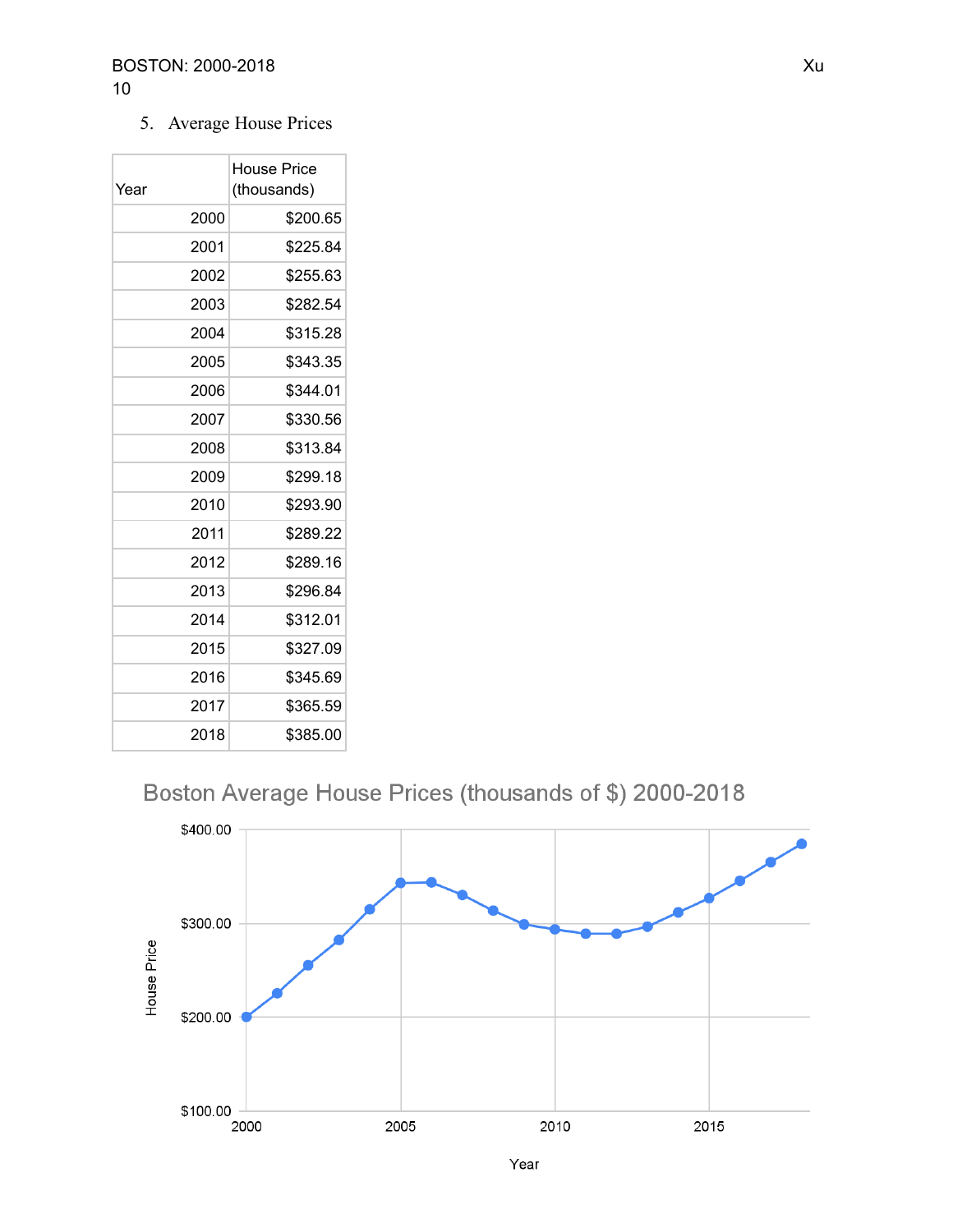#### 5. Average House Prices

| Year | House Price<br>(thousands) |
|------|----------------------------|
| 2000 | \$200.65                   |
| 2001 | \$225.84                   |
| 2002 | \$255.63                   |
| 2003 | \$282.54                   |
| 2004 | \$315.28                   |
| 2005 | \$343.35                   |
| 2006 | \$344.01                   |
| 2007 | \$330.56                   |
| 2008 | \$313.84                   |
| 2009 | \$299.18                   |
| 2010 | \$293.90                   |
| 2011 | \$289.22                   |
| 2012 | \$289.16                   |
| 2013 | \$296.84                   |
| 2014 | \$312.01                   |
| 2015 | \$327.09                   |
| 2016 | \$345.69                   |
| 2017 | \$365.59                   |
| 2018 | \$385.00                   |

## Boston Average House Prices (thousands of \$) 2000-2018



Year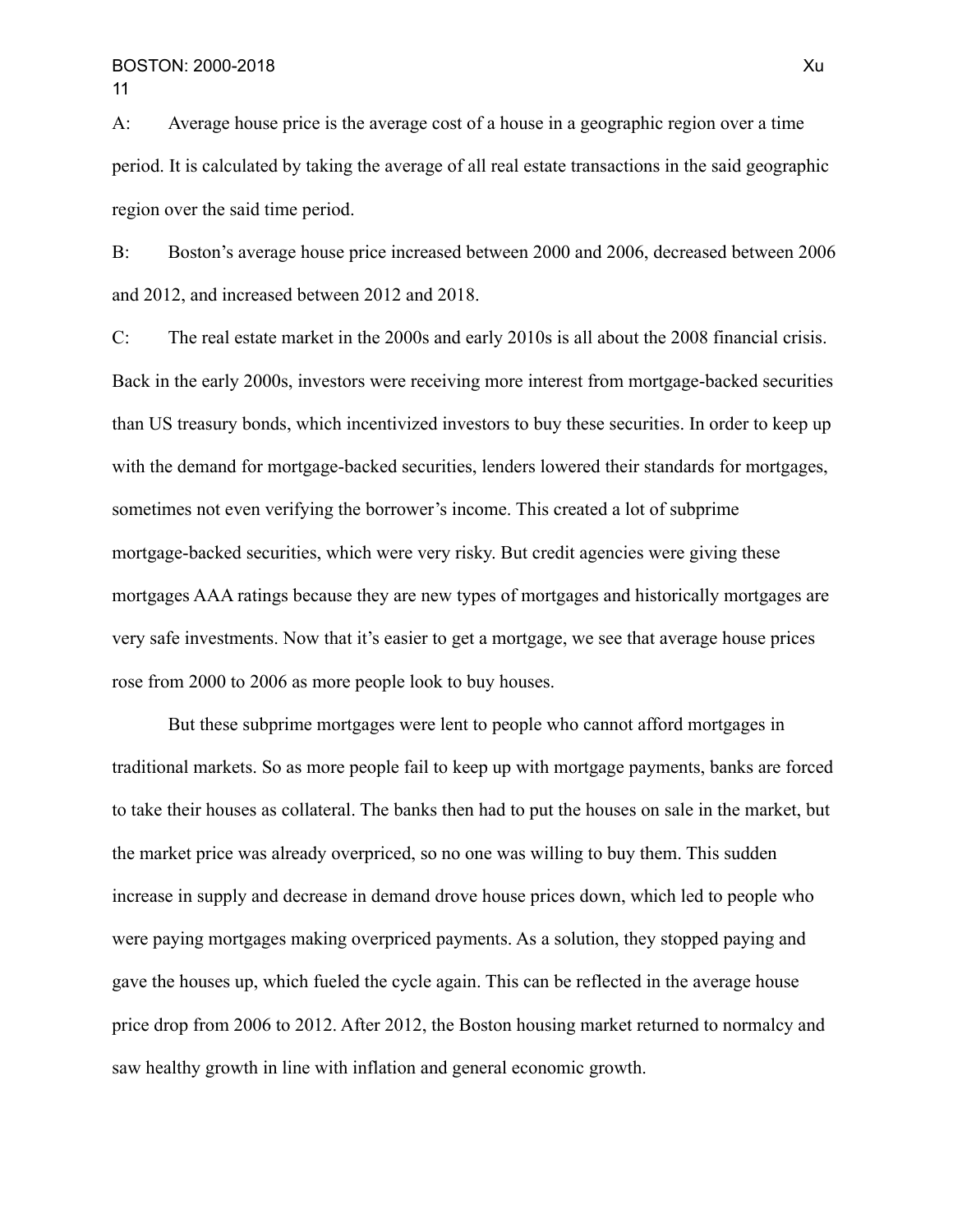A: Average house price is the average cost of a house in a geographic region over a time period. It is calculated by taking the average of all real estate transactions in the said geographic region over the said time period.

B: Boston's average house price increased between 2000 and 2006, decreased between 2006 and 2012, and increased between 2012 and 2018.

C: The real estate market in the 2000s and early 2010s is all about the 2008 financial crisis. Back in the early 2000s, investors were receiving more interest from mortgage-backed securities than US treasury bonds, which incentivized investors to buy these securities. In order to keep up with the demand for mortgage-backed securities, lenders lowered their standards for mortgages, sometimes not even verifying the borrower's income. This created a lot of subprime mortgage-backed securities, which were very risky. But credit agencies were giving these mortgages AAA ratings because they are new types of mortgages and historically mortgages are very safe investments. Now that it's easier to get a mortgage, we see that average house prices rose from 2000 to 2006 as more people look to buy houses.

But these subprime mortgages were lent to people who cannot afford mortgages in traditional markets. So as more people fail to keep up with mortgage payments, banks are forced to take their houses as collateral. The banks then had to put the houses on sale in the market, but the market price was already overpriced, so no one was willing to buy them. This sudden increase in supply and decrease in demand drove house prices down, which led to people who were paying mortgages making overpriced payments. As a solution, they stopped paying and gave the houses up, which fueled the cycle again. This can be reflected in the average house price drop from 2006 to 2012. After 2012, the Boston housing market returned to normalcy and saw healthy growth in line with inflation and general economic growth.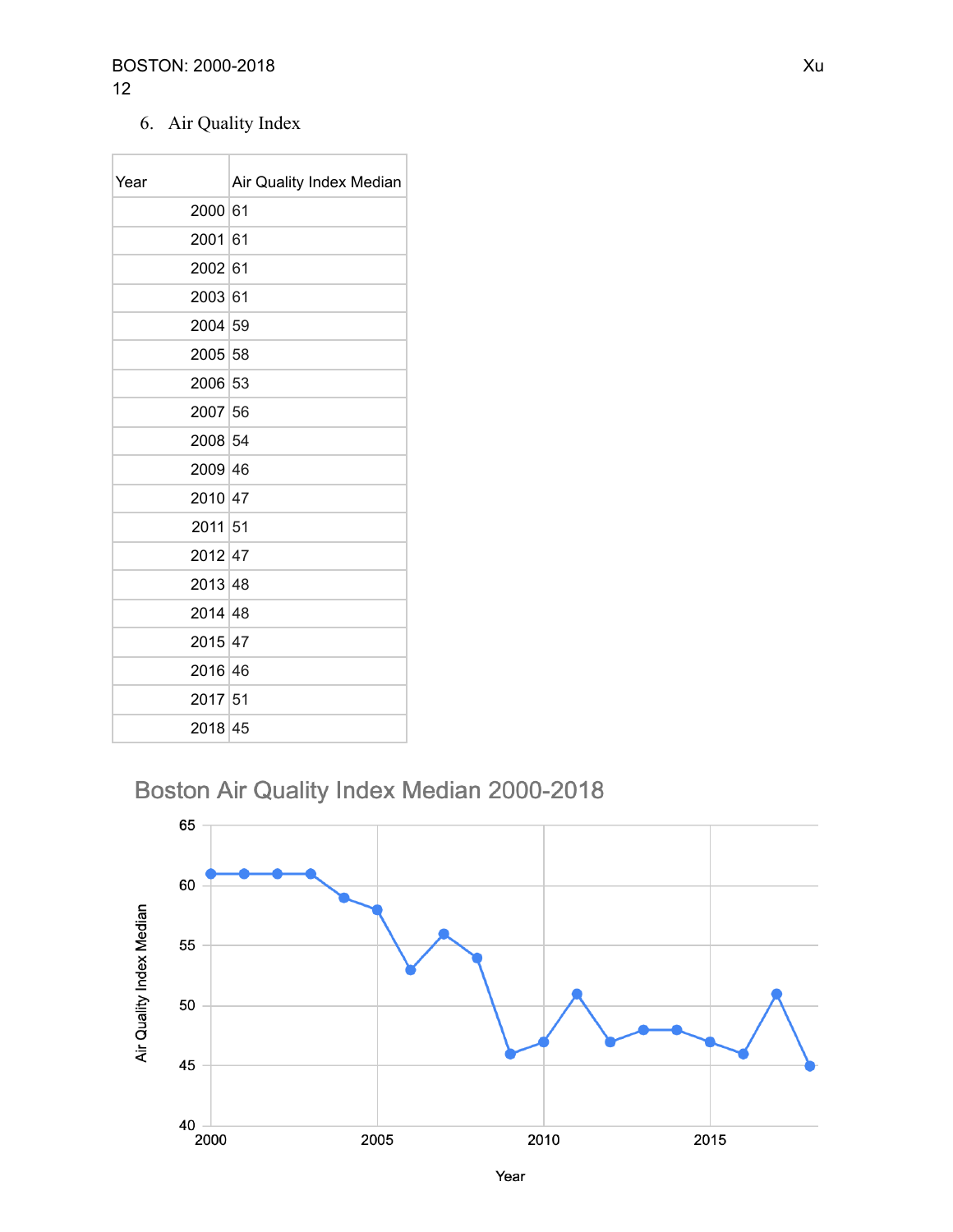#### BOSTON: 2000-2018 2

6. Air Quality Index

| Year    | Air Quality Index Median |
|---------|--------------------------|
| 2000 61 |                          |
| 2001 61 |                          |
| 2002 61 |                          |
| 2003 61 |                          |
| 2004 59 |                          |
| 2005 58 |                          |
| 2006 53 |                          |
| 2007 56 |                          |
| 2008 54 |                          |
| 2009 46 |                          |
| 2010 47 |                          |
| 2011 51 |                          |
| 2012 47 |                          |
| 2013 48 |                          |
| 2014 48 |                          |
| 2015 47 |                          |
| 2016 46 |                          |
| 2017 51 |                          |
| 2018 45 |                          |

# Boston Air Quality Index Median 2000-2018

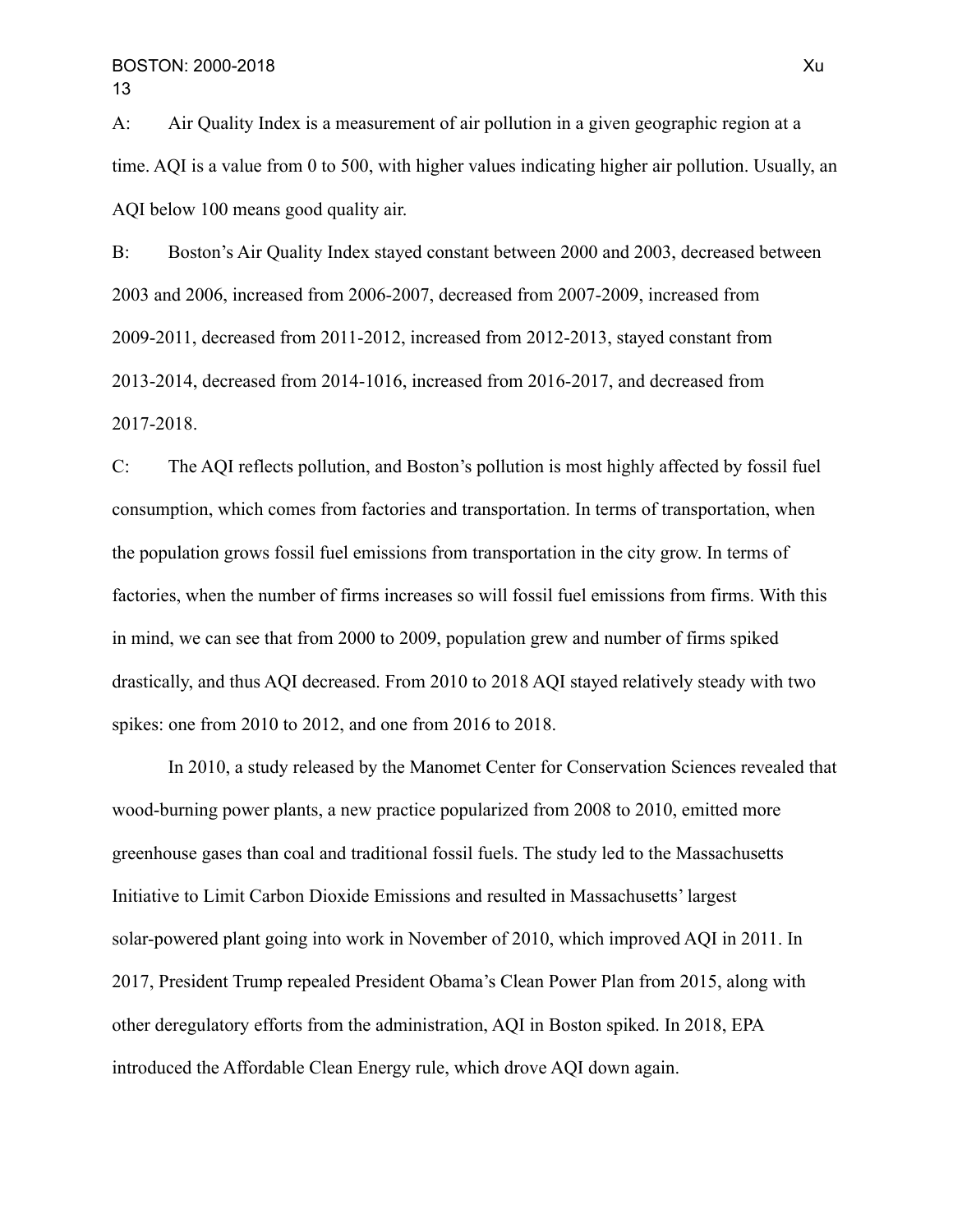A: Air Quality Index is a measurement of air pollution in a given geographic region at a time. AQI is a value from 0 to 500, with higher values indicating higher air pollution. Usually, an AQI below 100 means good quality air.

B: Boston's Air Quality Index stayed constant between 2000 and 2003, decreased between 2003 and 2006, increased from 2006-2007, decreased from 2007-2009, increased from 2009-2011, decreased from 2011-2012, increased from 2012-2013, stayed constant from 2013-2014, decreased from 2014-1016, increased from 2016-2017, and decreased from 2017-2018.

C: The AQI reflects pollution, and Boston's pollution is most highly affected by fossil fuel consumption, which comes from factories and transportation. In terms of transportation, when the population grows fossil fuel emissions from transportation in the city grow. In terms of factories, when the number of firms increases so will fossil fuel emissions from firms. With this in mind, we can see that from 2000 to 2009, population grew and number of firms spiked drastically, and thus AQI decreased. From 2010 to 2018 AQI stayed relatively steady with two spikes: one from 2010 to 2012, and one from 2016 to 2018.

In 2010, a study released by the Manomet Center for Conservation Sciences revealed that wood-burning power plants, a new practice popularized from 2008 to 2010, emitted more greenhouse gases than coal and traditional fossil fuels. The study led to the Massachusetts Initiative to Limit Carbon Dioxide Emissions and resulted in Massachusetts' largest solar-powered plant going into work in November of 2010, which improved AQI in 2011. In 2017, President Trump repealed President Obama's Clean Power Plan from 2015, along with other deregulatory efforts from the administration, AQI in Boston spiked. In 2018, EPA introduced the Affordable Clean Energy rule, which drove AQI down again.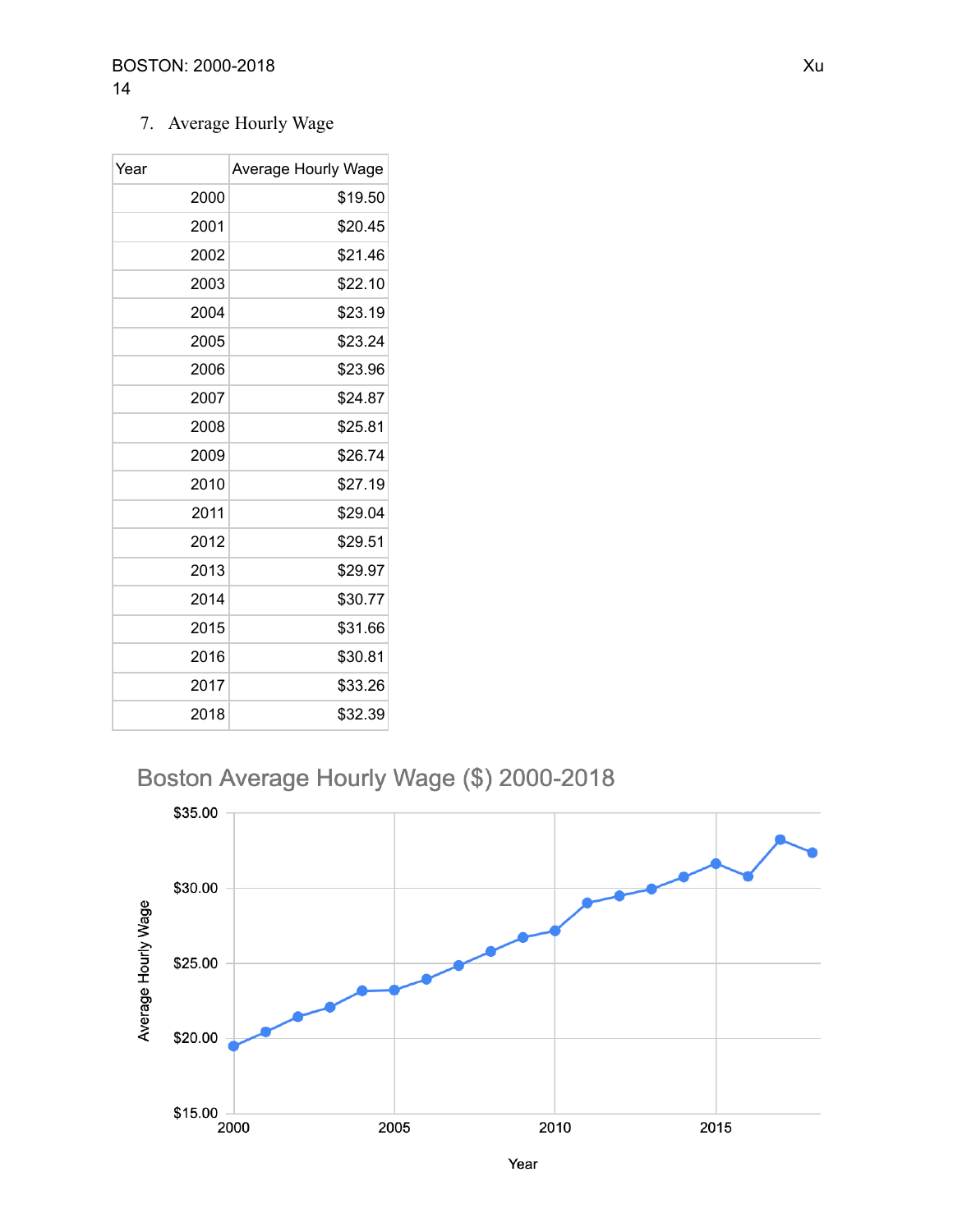7. Average Hourly Wage

| Year | Average Hourly Wage |
|------|---------------------|
| 2000 | \$19.50             |
| 2001 | \$20.45             |
| 2002 | \$21.46             |
| 2003 | \$22.10             |
| 2004 | \$23.19             |
| 2005 | \$23.24             |
| 2006 | \$23.96             |
| 2007 | \$24.87             |
| 2008 | \$25.81             |
| 2009 | \$26.74             |
| 2010 | \$27.19             |
| 2011 | \$29.04             |
| 2012 | \$29.51             |
| 2013 | \$29.97             |
| 2014 | \$30.77             |
| 2015 | \$31.66             |
| 2016 | \$30.81             |
| 2017 | \$33.26             |
| 2018 | \$32.39             |

Boston Average Hourly Wage (\$) 2000-2018



Year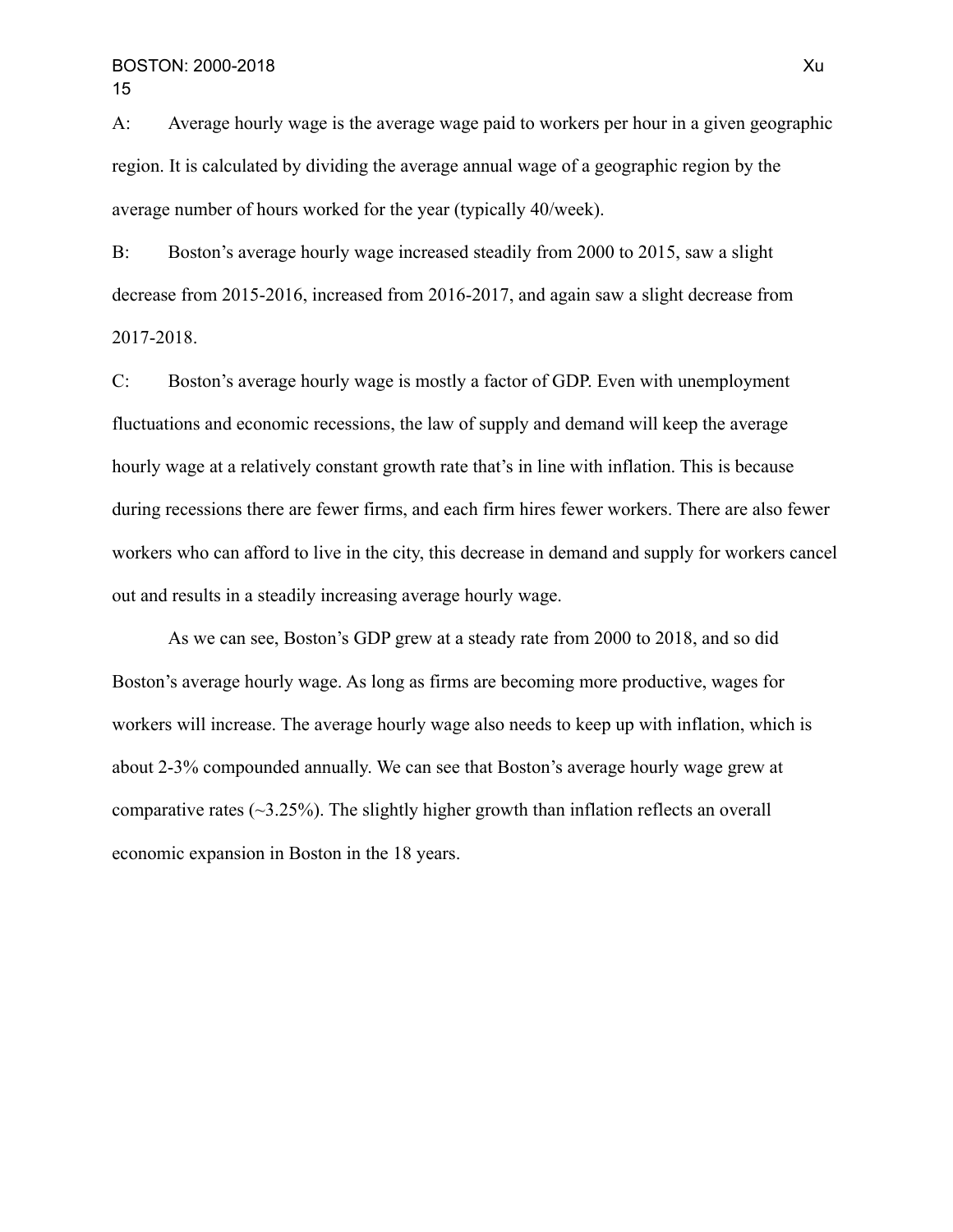A: Average hourly wage is the average wage paid to workers per hour in a given geographic region. It is calculated by dividing the average annual wage of a geographic region by the average number of hours worked for the year (typically 40/week).

B: Boston's average hourly wage increased steadily from 2000 to 2015, saw a slight decrease from 2015-2016, increased from 2016-2017, and again saw a slight decrease from 2017-2018.

C: Boston's average hourly wage is mostly a factor of GDP. Even with unemployment fluctuations and economic recessions, the law of supply and demand will keep the average hourly wage at a relatively constant growth rate that's in line with inflation. This is because during recessions there are fewer firms, and each firm hires fewer workers. There are also fewer workers who can afford to live in the city, this decrease in demand and supply for workers cancel out and results in a steadily increasing average hourly wage.

As we can see, Boston's GDP grew at a steady rate from 2000 to 2018, and so did Boston's average hourly wage. As long as firms are becoming more productive, wages for workers will increase. The average hourly wage also needs to keep up with inflation, which is about 2-3% compounded annually. We can see that Boston's average hourly wage grew at comparative rates  $(\sim 3.25\%)$ . The slightly higher growth than inflation reflects an overall economic expansion in Boston in the 18 years.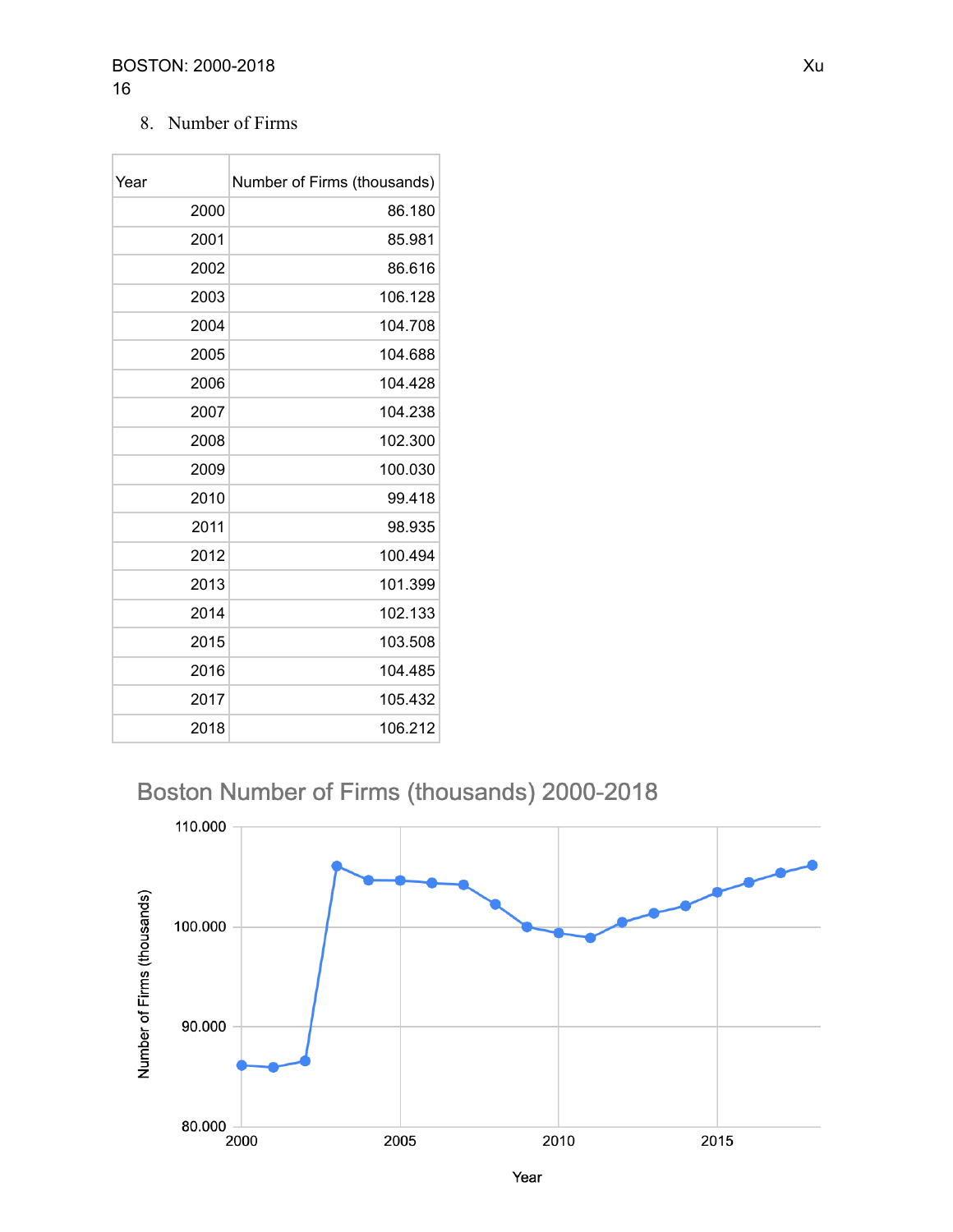#### **BOSTON: 2000-2018** Xu

### 8. Number of Firms

| Year | Number of Firms (thousands) |
|------|-----------------------------|
| 2000 | 86.180                      |
| 2001 | 85.981                      |
| 2002 | 86.616                      |
| 2003 | 106.128                     |
| 2004 | 104.708                     |
| 2005 | 104.688                     |
| 2006 | 104.428                     |
| 2007 | 104.238                     |
| 2008 | 102.300                     |
| 2009 | 100.030                     |
| 2010 | 99.418                      |
| 2011 | 98.935                      |
| 2012 | 100.494                     |
| 2013 | 101.399                     |
| 2014 | 102.133                     |
| 2015 | 103.508                     |
| 2016 | 104.485                     |
| 2017 | 105.432                     |
| 2018 | 106.212                     |

## Boston Number of Firms (thousands) 2000-2018

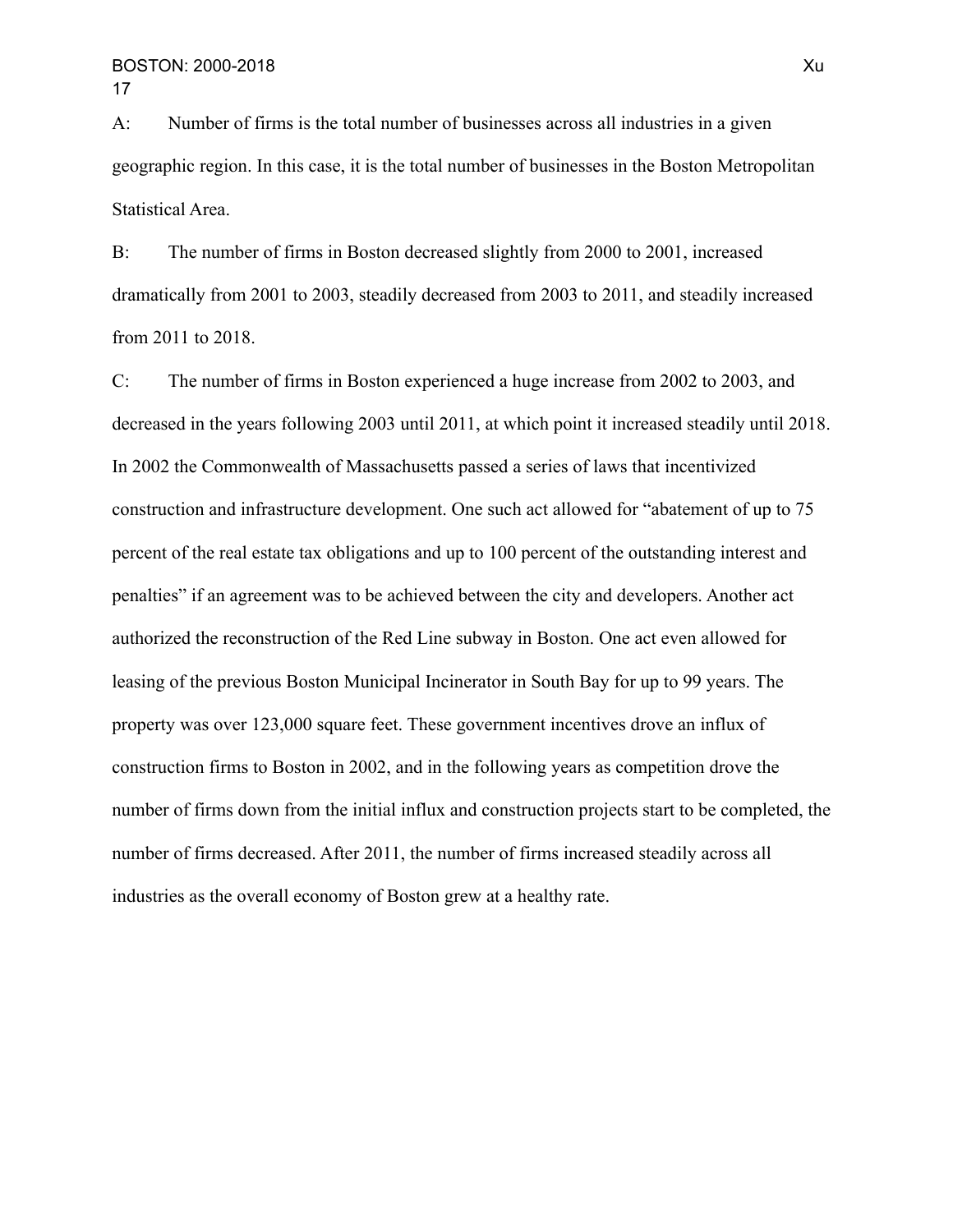A: Number of firms is the total number of businesses across all industries in a given geographic region. In this case, it is the total number of businesses in the Boston Metropolitan Statistical Area.

B: The number of firms in Boston decreased slightly from 2000 to 2001, increased dramatically from 2001 to 2003, steadily decreased from 2003 to 2011, and steadily increased from 2011 to 2018.

C: The number of firms in Boston experienced a huge increase from 2002 to 2003, and decreased in the years following 2003 until 2011, at which point it increased steadily until 2018. In 2002 the Commonwealth of Massachusetts passed a series of laws that incentivized construction and infrastructure development. One such act allowed for "abatement of up to 75 percent of the real estate tax obligations and up to 100 percent of the outstanding interest and penalties" if an agreement was to be achieved between the city and developers. Another act authorized the reconstruction of the Red Line subway in Boston. One act even allowed for leasing of the previous Boston Municipal Incinerator in South Bay for up to 99 years. The property was over 123,000 square feet. These government incentives drove an influx of construction firms to Boston in 2002, and in the following years as competition drove the number of firms down from the initial influx and construction projects start to be completed, the number of firms decreased. After 2011, the number of firms increased steadily across all industries as the overall economy of Boston grew at a healthy rate.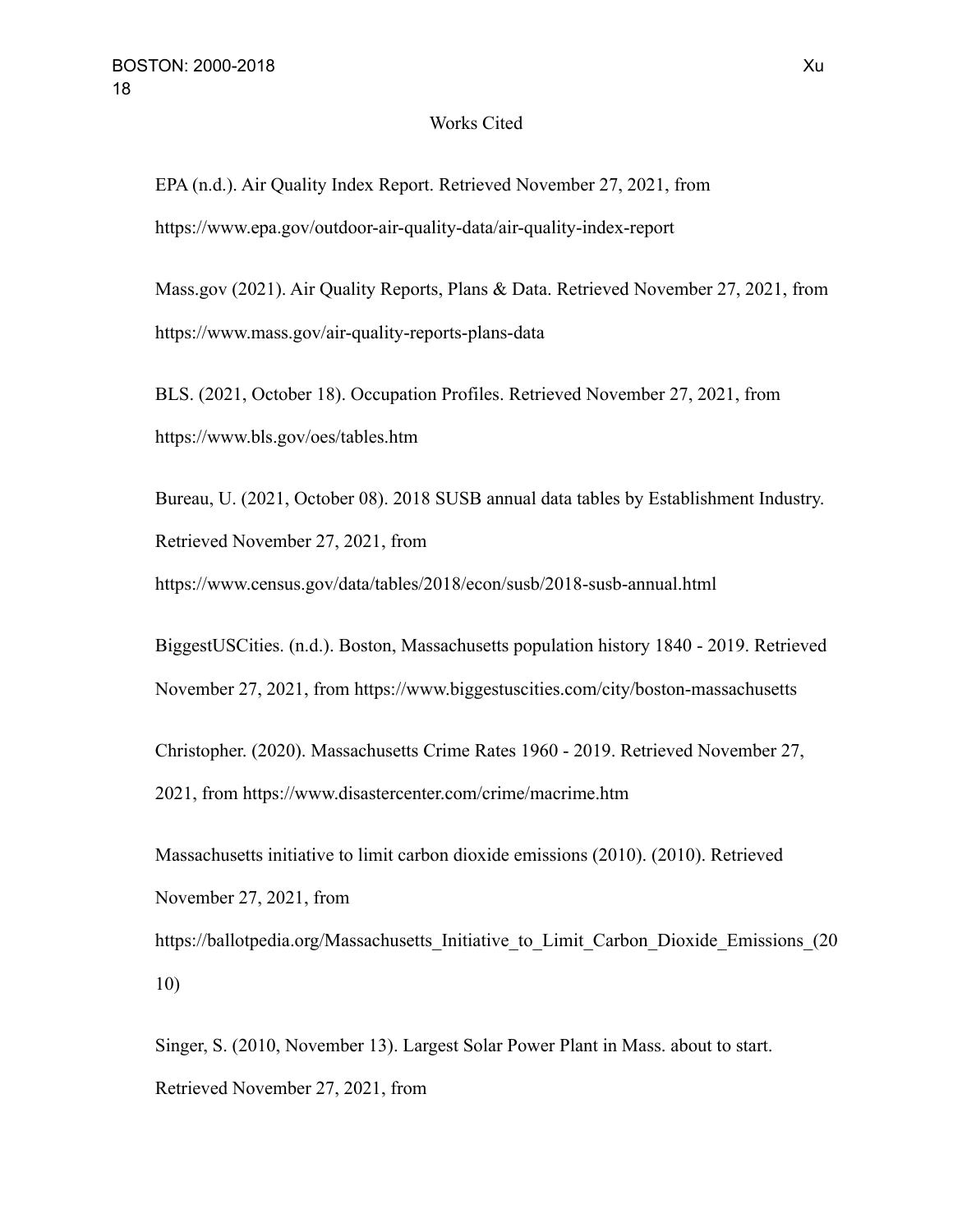#### Works Cited

EPA (n.d.). Air Quality Index Report. Retrieved November 27, 2021, from https://www.epa.gov/outdoor-air-quality-data/air-quality-index-report

Mass.gov (2021). Air Quality Reports, Plans & Data. Retrieved November 27, 2021, from https://www.mass.gov/air-quality-reports-plans-data

BLS. (2021, October 18). Occupation Profiles. Retrieved November 27, 2021, from https://www.bls.gov/oes/tables.htm

Bureau, U. (2021, October 08). 2018 SUSB annual data tables by Establishment Industry. Retrieved November 27, 2021, from

https://www.census.gov/data/tables/2018/econ/susb/2018-susb-annual.html

BiggestUSCities. (n.d.). Boston, Massachusetts population history 1840 - 2019. Retrieved November 27, 2021, from https://www.biggestuscities.com/city/boston-massachusetts

Christopher. (2020). Massachusetts Crime Rates 1960 - 2019. Retrieved November 27, 2021, from https://www.disastercenter.com/crime/macrime.htm

Massachusetts initiative to limit carbon dioxide emissions (2010). (2010). Retrieved November 27, 2021, from https://ballotpedia.org/Massachusetts\_Initiative\_to\_Limit\_Carbon\_Dioxide\_Emissions\_(20

10)

Singer, S. (2010, November 13). Largest Solar Power Plant in Mass. about to start. Retrieved November 27, 2021, from